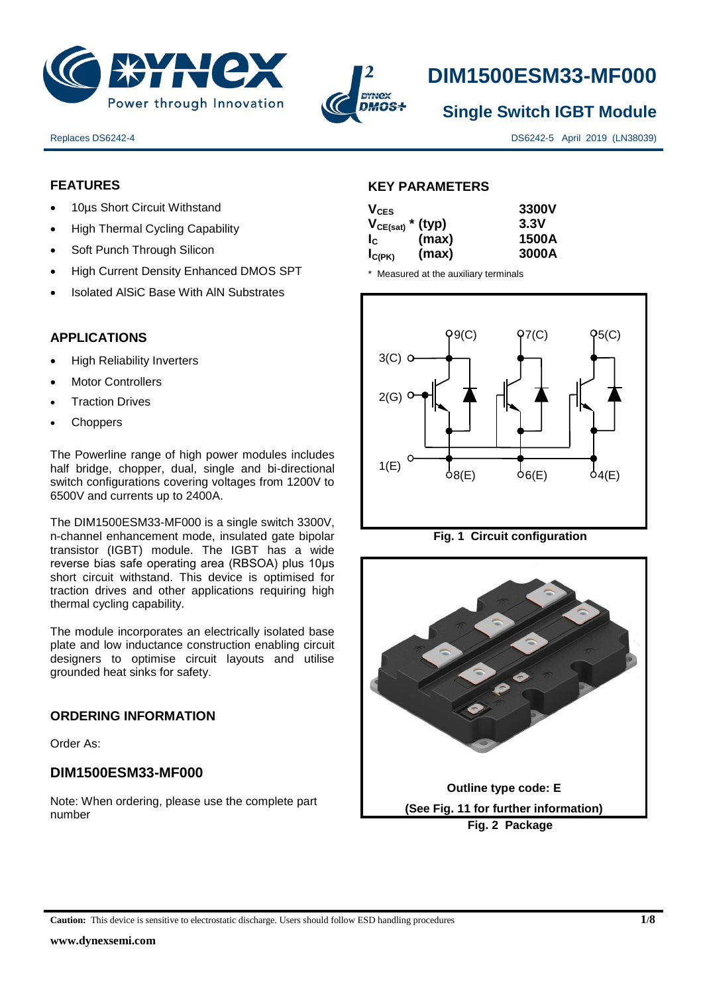



# **DIM1500ESM33-MF000**

**Single Switch IGBT Module**

Replaces DS6242-4 DS6242-5 April 2019 (LN38039)

## **FEATURES**

- 10µs Short Circuit Withstand
- High Thermal Cycling Capability
- Soft Punch Through Silicon
- High Current Density Enhanced DMOS SPT
- Isolated AlSiC Base With AlN Substrates

# **APPLICATIONS**

- High Reliability Inverters
- Motor Controllers
- Traction Drives
- Choppers

The Powerline range of high power modules includes half bridge, chopper, dual, single and bi-directional switch configurations covering voltages from 1200V to 6500V and currents up to 2400A.

The DIM1500ESM33-MF000 is a single switch 3300V, n-channel enhancement mode, insulated gate bipolar transistor (IGBT) module. The IGBT has a wide reverse bias safe operating area (RBSOA) plus 10μs short circuit withstand. This device is optimised for traction drives and other applications requiring high thermal cycling capability.

The module incorporates an electrically isolated base plate and low inductance construction enabling circuit designers to optimise circuit layouts and utilise grounded heat sinks for safety.

#### **ORDERING INFORMATION**

Order As:

#### **DIM1500ESM33-MF000**

Note: When ordering, please use the complete part number

# **KEY PARAMETERS**

| $V_{CES}$             |       | 3300V |
|-----------------------|-------|-------|
| $V_{CE(sat)}$ * (typ) |       | 3.3V  |
| Ic.                   | (max) | 1500A |
| $I_{C(PK)}$           | (max) | 3000A |

\* Measured at the auxiliary terminals



**Fig. 1 Circuit configuration**



**Caution:** This device is sensitive to electrostatic discharge. Users should follow ESD handling procedures **1/8**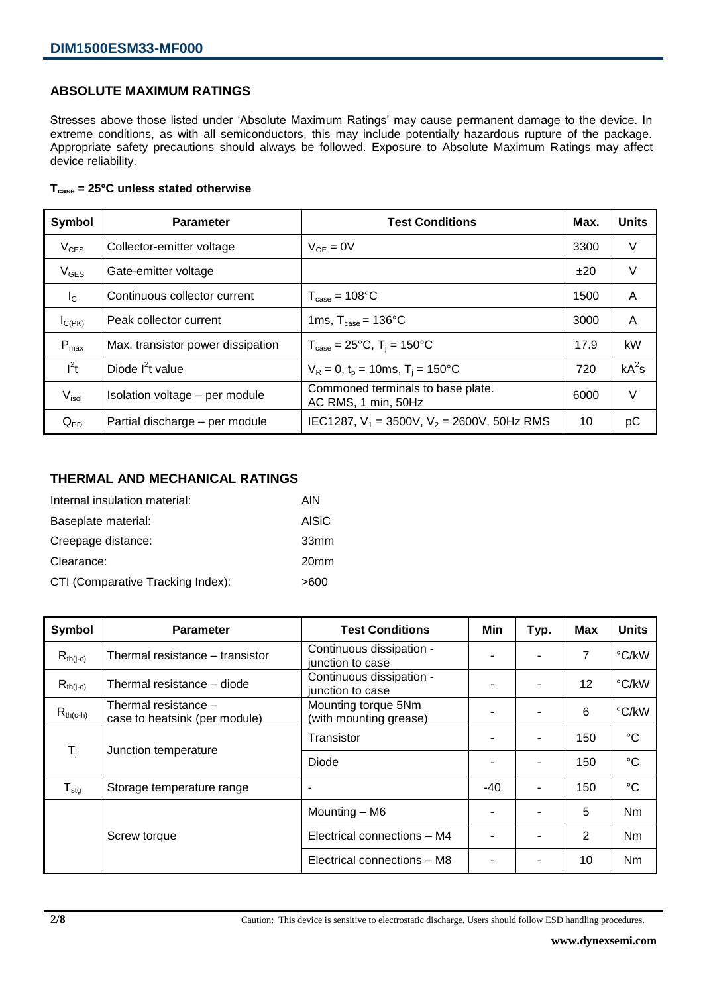#### **ABSOLUTE MAXIMUM RATINGS**

Stresses above those listed under 'Absolute Maximum Ratings' may cause permanent damage to the device. In extreme conditions, as with all semiconductors, this may include potentially hazardous rupture of the package. Appropriate safety precautions should always be followed. Exposure to Absolute Maximum Ratings may affect device reliability.

#### **Tcase = 25°C unless stated otherwise**

| Symbol            | <b>Parameter</b>                  | <b>Test Conditions</b>                                   | Max. | <b>Units</b> |
|-------------------|-----------------------------------|----------------------------------------------------------|------|--------------|
| $V_{CES}$         | Collector-emitter voltage         | $V_{GF} = 0V$                                            | 3300 | V            |
| $V_{\text{GES}}$  | Gate-emitter voltage              |                                                          | ±20  | V            |
| $I_{\rm C}$       | Continuous collector current      | $T_{\text{case}} = 108^{\circ}C$                         | 1500 | A            |
| $I_{C(PK)}$       | Peak collector current            | 1ms, $T_{\text{case}} = 136^{\circ}$ C                   | 3000 | A            |
| $P_{max}$         | Max. transistor power dissipation | $T_{\text{case}} = 25^{\circ}C$ , $T_i = 150^{\circ}C$   | 17.9 | kW           |
| $I^2t$            | Diode $I^2t$ value                | $V_R = 0$ , $t_p = 10$ ms, $T_i = 150^{\circ}$ C         | 720  | $kA^2s$      |
| V <sub>isol</sub> | Isolation voltage - per module    | Commoned terminals to base plate.<br>AC RMS, 1 min, 50Hz | 6000 | V            |
| $Q_{PD}$          | Partial discharge - per module    | IEC1287, $V_1 = 3500V$ , $V_2 = 2600V$ , 50Hz RMS        | 10   | рC           |

#### **THERMAL AND MECHANICAL RATINGS**

| Internal insulation material:     | AIN              |
|-----------------------------------|------------------|
| Baseplate material:               | <b>AISiC</b>     |
| Creepage distance:                | 33mm             |
| Clearance:                        | 20 <sub>mm</sub> |
| CTI (Comparative Tracking Index): | >600             |

| Symbol                                            | <b>Parameter</b>                                      | <b>Test Conditions</b>                        | Min | Typ.           | Max | <b>Units</b>    |
|---------------------------------------------------|-------------------------------------------------------|-----------------------------------------------|-----|----------------|-----|-----------------|
| $R_{th(j-c)}$                                     | Thermal resistance – transistor                       | Continuous dissipation -<br>junction to case  |     |                | 7   | °C/kW           |
| $R_{th(i-c)}$                                     | Thermal resistance - diode                            | Continuous dissipation -<br>junction to case  |     |                | 12  | °C/kW           |
| $R_{th(c-h)}$                                     | Thermal resistance -<br>case to heatsink (per module) | Mounting torque 5Nm<br>(with mounting grease) | ٠   |                | 6   | °C/kW           |
| $\mathsf{T}_{\mathsf{i}}$<br>Junction temperature |                                                       | Transistor                                    |     | $\blacksquare$ | 150 | $^{\circ}C$     |
|                                                   |                                                       | Diode                                         | ٠   |                | 150 | $\rm ^{\circ}C$ |
| ${\mathsf T}_{\text{stg}}$                        | Storage temperature range                             | $\overline{\phantom{a}}$                      | -40 | $\blacksquare$ | 150 | $^{\circ}C$     |
|                                                   |                                                       | Mounting - M6                                 |     |                | 5   | <b>Nm</b>       |
|                                                   | Screw torque                                          | Electrical connections - M4                   |     |                | 2   | Nm              |
|                                                   |                                                       | Electrical connections - M8                   |     |                | 10  | Nm              |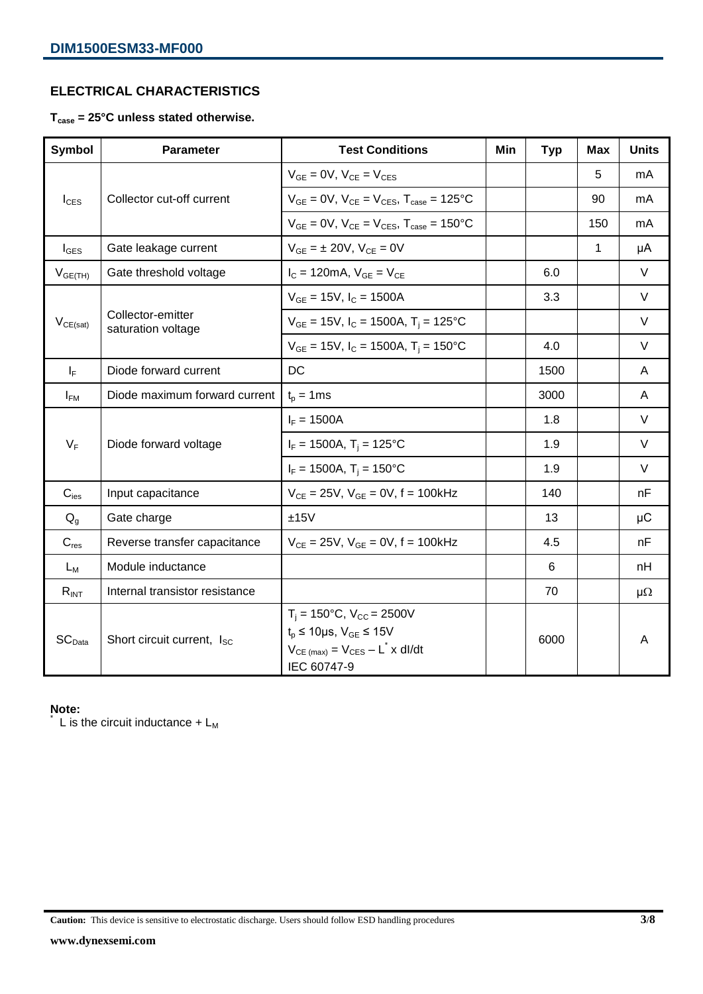# **ELECTRICAL CHARACTERISTICS**

#### **Tcase = 25°C unless stated otherwise.**

| <b>Symbol</b>      | <b>Parameter</b>                        | <b>Test Conditions</b>                                                                                                                                 | Min | <b>Typ</b> | <b>Max</b> | <b>Units</b> |
|--------------------|-----------------------------------------|--------------------------------------------------------------------------------------------------------------------------------------------------------|-----|------------|------------|--------------|
|                    |                                         | $V_{GE} = 0V$ , $V_{CE} = V_{CES}$                                                                                                                     |     |            | 5          | mA           |
| $I_{\text{CES}}$   | Collector cut-off current               | $V_{GE}$ = 0V, $V_{CE}$ = $V_{CES}$ , $T_{case}$ = 125°C                                                                                               |     |            | 90         | mA           |
|                    |                                         | $V_{GF} = 0V$ , $V_{CF} = V_{CES}$ , $T_{case} = 150^{\circ}C$                                                                                         |     |            | 150        | mA           |
| $I_{\text{GES}}$   | Gate leakage current                    | $V_{GE} = \pm 20V$ , $V_{CE} = 0V$                                                                                                                     |     |            | 1          | μA           |
| $V_{GE(TH)}$       | Gate threshold voltage                  | $I_{C} = 120mA, V_{GE} = V_{CE}$                                                                                                                       |     | 6.0        |            | $\vee$       |
|                    |                                         | $V_{GE}$ = 15V, $I_c$ = 1500A                                                                                                                          |     | 3.3        |            | V            |
| $V_{CE(sat)}$      | Collector-emitter<br>saturation voltage | $V_{GE}$ = 15V, $I_C$ = 1500A, $T_i$ = 125°C                                                                                                           |     |            |            | $\vee$       |
|                    |                                         | $V_{GE}$ = 15V, I <sub>C</sub> = 1500A, T <sub>i</sub> = 150°C                                                                                         |     | 4.0        |            | V            |
| $I_F$              | Diode forward current                   | DC                                                                                                                                                     |     | 1500       |            | A            |
| $I_{FM}$           | Diode maximum forward current           | $t_p = 1ms$                                                                                                                                            |     | 3000       |            | A            |
|                    | Diode forward voltage                   | $I_F = 1500A$                                                                                                                                          |     | 1.8        |            | V            |
| $V_F$              |                                         | $I_F = 1500A$ , $T_i = 125^{\circ}C$                                                                                                                   |     | 1.9        |            | $\vee$       |
|                    |                                         | $I_F = 1500A$ , $T_i = 150^{\circ}C$                                                                                                                   |     | 1.9        |            | $\vee$       |
| $C_{\text{ies}}$   | Input capacitance                       | $V_{CE} = 25V$ , $V_{GE} = 0V$ , f = 100kHz                                                                                                            |     | 140        |            | nF           |
| $Q_q$              | Gate charge                             | ±15V                                                                                                                                                   |     | 13         |            | $\mu$ C      |
| $C_{res}$          | Reverse transfer capacitance            | $V_{CE} = 25V$ , $V_{GE} = 0V$ , f = 100kHz                                                                                                            |     | 4.5        |            | nF           |
| $L_M$              | Module inductance                       |                                                                                                                                                        |     | 6          |            | nH           |
| $R_{INT}$          | Internal transistor resistance          |                                                                                                                                                        |     | 70         |            | $\mu\Omega$  |
| SC <sub>Data</sub> | Short circuit current, I <sub>SC</sub>  | $T_i = 150^{\circ}C$ , $V_{CC} = 2500V$<br>$t_p \le 10 \mu s$ , $V_{GE} \le 15V$<br>$V_{CE \text{ (max)}} = V_{CES} - L^* \times dl/dt$<br>IEC 60747-9 |     | 6000       |            | A            |

# **Note:**

L is the circuit inductance  $+ L_M$ 

**Caution:** This device is sensitive to electrostatic discharge. Users should follow ESD handling procedures **3/8**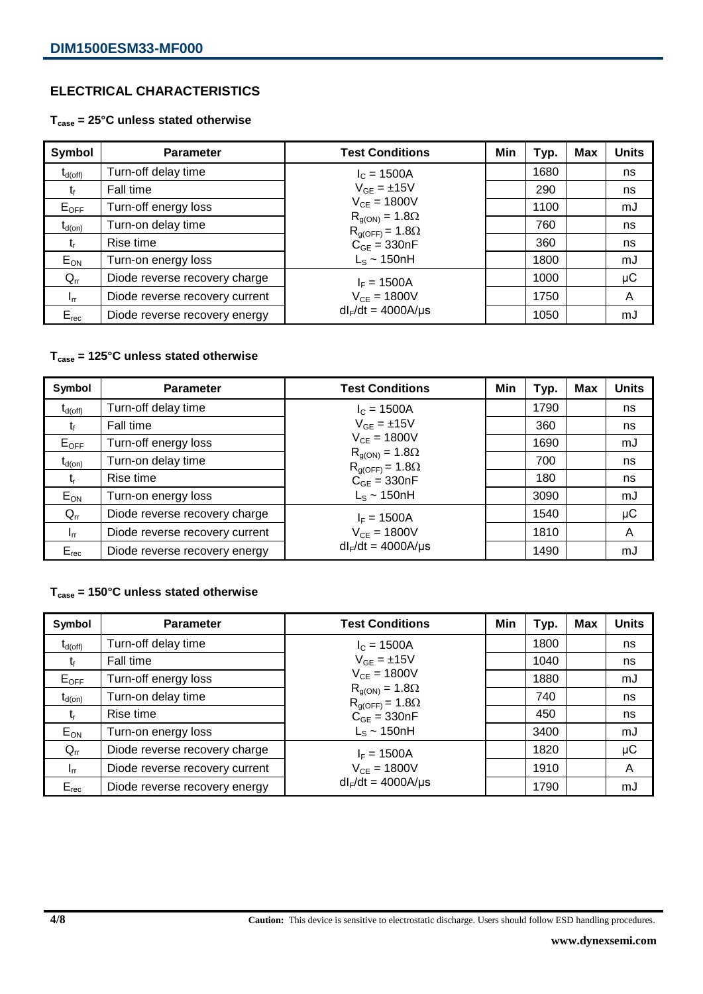# **ELECTRICAL CHARACTERISTICS**

#### **Tcase = 25°C unless stated otherwise**

| Symbol       | <b>Parameter</b>               | <b>Test Conditions</b>                              | Min | Typ. | Max | <b>Units</b> |
|--------------|--------------------------------|-----------------------------------------------------|-----|------|-----|--------------|
| $t_{d(off)}$ | Turn-off delay time            | $I_c = 1500A$                                       |     | 1680 |     | ns           |
| t            | Fall time                      | $V_{GE} = \pm 15V$                                  |     | 290  |     | ns           |
| $E_{OFF}$    | Turn-off energy loss           | $V_{CF} = 1800V$                                    |     | 1100 |     | mJ           |
| $t_{d(on)}$  | Turn-on delay time             | $R_{g(ON)} = 1.8\Omega$<br>$R_{g(OFF)} = 1.8\Omega$ |     | 760  |     | ns           |
| t,           | Rise time                      | $C_{GE} = 330nF$                                    |     | 360  |     | ns           |
| $E_{ON}$     | Turn-on energy loss            | $L_s \sim 150$ nH                                   |     | 1800 |     | mJ           |
| $Q_{rr}$     | Diode reverse recovery charge  | $I_F = 1500A$                                       |     | 1000 |     | μC           |
| $I_{rr}$     | Diode reverse recovery current | $V_{CE} = 1800V$                                    |     | 1750 |     | A            |
| $E_{rec}$    | Diode reverse recovery energy  | $dl_F/dt = 4000A/\mu s$                             |     | 1050 |     | mJ           |

#### **Tcase = 125°C unless stated otherwise**

| Symbol              | <b>Parameter</b>               | <b>Test Conditions</b>                              | Min | Typ. | <b>Max</b> | <b>Units</b> |
|---------------------|--------------------------------|-----------------------------------------------------|-----|------|------------|--------------|
| $t_{d(\text{off})}$ | Turn-off delay time            | $I_c = 1500A$                                       |     | 1790 |            | ns           |
| Ţŧ                  | Fall time                      | $V_{GE} = \pm 15V$                                  |     | 360  |            | ns           |
| $E_{OFF}$           | Turn-off energy loss           | $V_{CF} = 1800V$                                    |     | 1690 |            | mJ           |
| $t_{d(on)}$         | Turn-on delay time             | $R_{g(ON)} = 1.8\Omega$<br>$R_{g(OFF)} = 1.8\Omega$ |     | 700  |            | ns           |
| t,                  | Rise time                      | $C_{GE} = 330nF$                                    |     | 180  |            | ns           |
| $E_{ON}$            | Turn-on energy loss            | $L_s \sim 150$ nH                                   |     | 3090 |            | mJ           |
| $Q_{rr}$            | Diode reverse recovery charge  | $I_F = 1500A$                                       |     | 1540 |            | μC           |
| $I_{rr}$            | Diode reverse recovery current | $V_{CE} = 1800V$                                    |     | 1810 |            | A            |
| $E_{rec}$           | Diode reverse recovery energy  | $dl_F/dt = 4000A/\mu s$                             |     | 1490 |            | mJ           |

#### **Tcase = 150°C unless stated otherwise**

| Symbol              | <b>Parameter</b>               | <b>Test Conditions</b>                              | Min | Typ. | <b>Max</b> | <b>Units</b> |
|---------------------|--------------------------------|-----------------------------------------------------|-----|------|------------|--------------|
| $t_{d(\text{off})}$ | Turn-off delay time            | $I_c = 1500A$                                       |     | 1800 |            | ns           |
| tғ                  | Fall time                      | $V_{GF} = \pm 15V$                                  |     | 1040 |            | ns           |
| $E_{\text{OFF}}$    | Turn-off energy loss           | $V_{CF} = 1800V$                                    |     | 1880 |            | mJ           |
| $t_{d(on)}$         | Turn-on delay time             | $R_{g(ON)} = 1.8\Omega$<br>$R_{g(OFF)} = 1.8\Omega$ |     | 740  |            | ns           |
| $t_{r}$             | Rise time                      | $C_{GE} = 330nF$                                    |     | 450  |            | ns           |
| $E_{ON}$            | Turn-on energy loss            | $L_s \sim 150$ nH                                   |     | 3400 |            | mJ           |
| $Q_{rr}$            | Diode reverse recovery charge  | $I_F = 1500A$                                       |     | 1820 |            | $\mu$ C      |
| $I_{rr}$            | Diode reverse recovery current | $V_{CE} = 1800V$                                    |     | 1910 |            | A            |
| $E_{rec}$           | Diode reverse recovery energy  | $dl_F/dt = 4000A/\mu s$                             |     | 1790 |            | mJ           |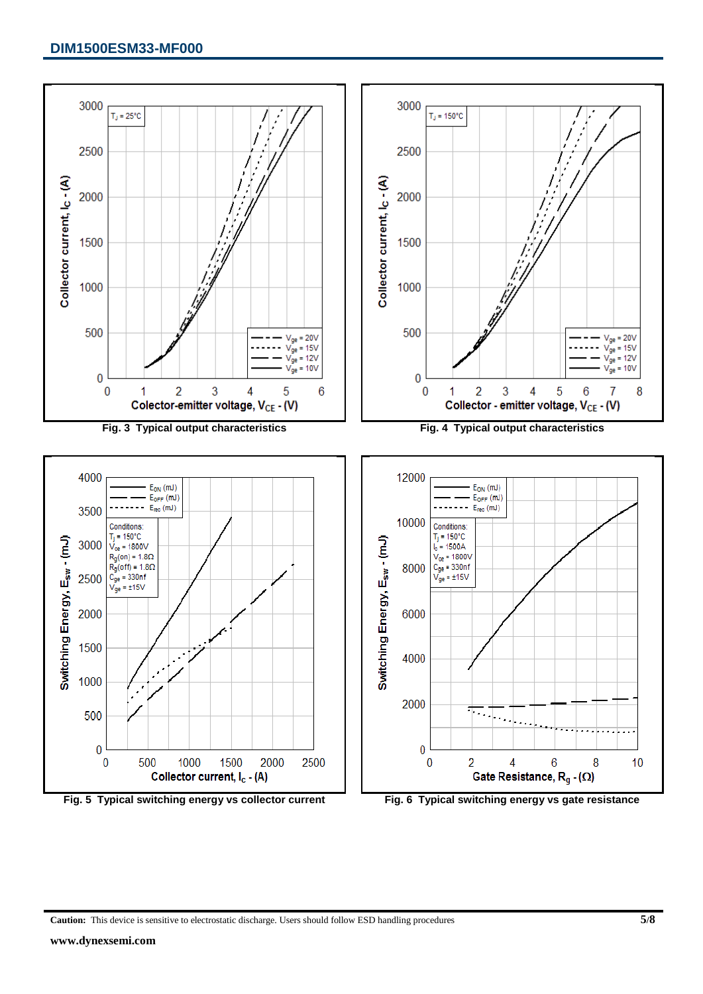# **DIM1500ESM33-MF000**



**Fig. 5 Typical switching energy vs collector current Fig. 6 Typical switching energy vs gate resistance**

**Caution:** This device is sensitive to electrostatic discharge. Users should follow ESD handling procedures **5/8**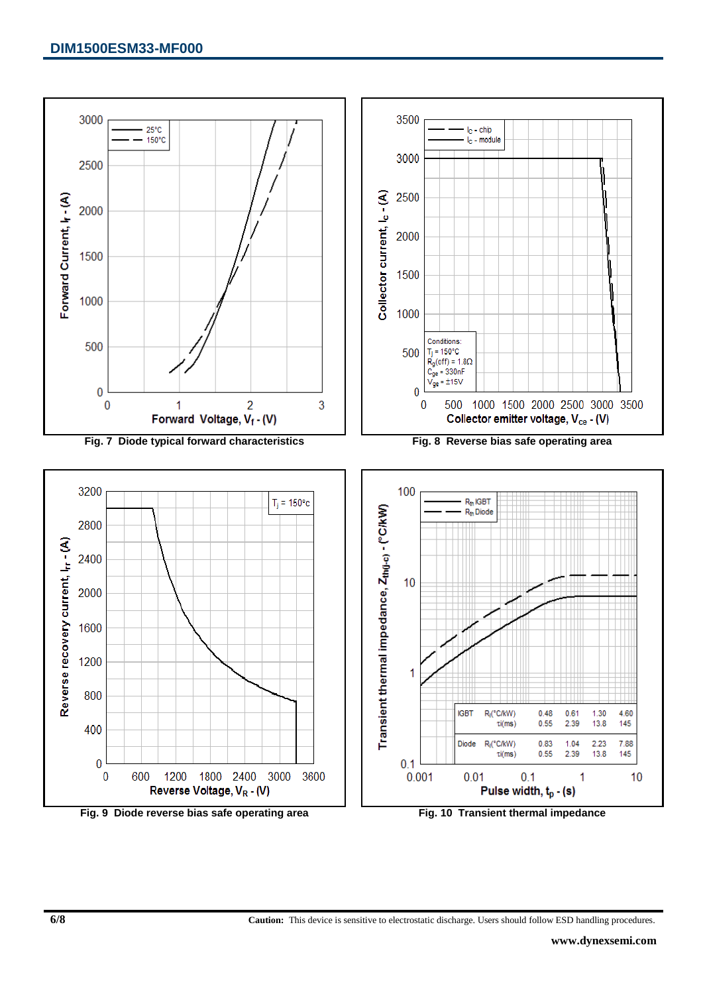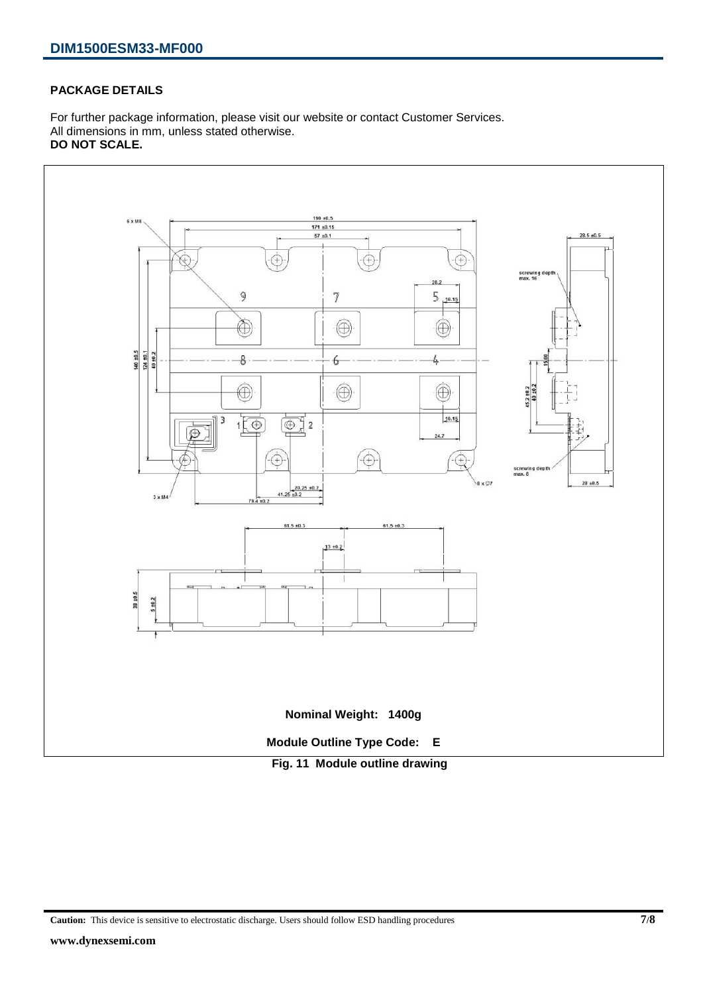#### **PACKAGE DETAILS**

For further package information, please visit our website or contact Customer Services. All dimensions in mm, unless stated otherwise. **DO NOT SCALE.**



**Caution:** This device is sensitive to electrostatic discharge. Users should follow ESD handling procedures **7/8**